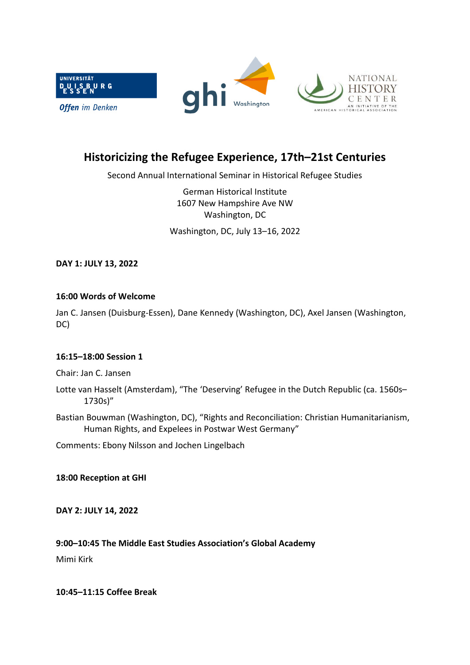

# **Historicizing the Refugee Experience, 17th–21st Centuries**

Second Annual International Seminar in Historical Refugee Studies

German Historical Institute 1607 New Hampshire Ave NW Washington, DC

Washington, DC, July 13–16, 2022

**DAY 1: JULY 13, 2022**

### **16:00 Words of Welcome**

Jan C. Jansen (Duisburg-Essen), Dane Kennedy (Washington, DC), Axel Jansen (Washington, DC)

### **16:15–18:00 Session 1**

Chair: Jan C. Jansen

- Lotte van Hasselt (Amsterdam), "The 'Deserving' Refugee in the Dutch Republic (ca. 1560s– 1730s)"
- Bastian Bouwman (Washington, DC), "Rights and Reconciliation: Christian Humanitarianism, Human Rights, and Expelees in Postwar West Germany"

Comments: Ebony Nilsson and Jochen Lingelbach

### **18:00 Reception at GHI**

**DAY 2: JULY 14, 2022**

### **9:00–10:45 The Middle East Studies Association's Global Academy**

Mimi Kirk

**10:45–11:15 Coffee Break**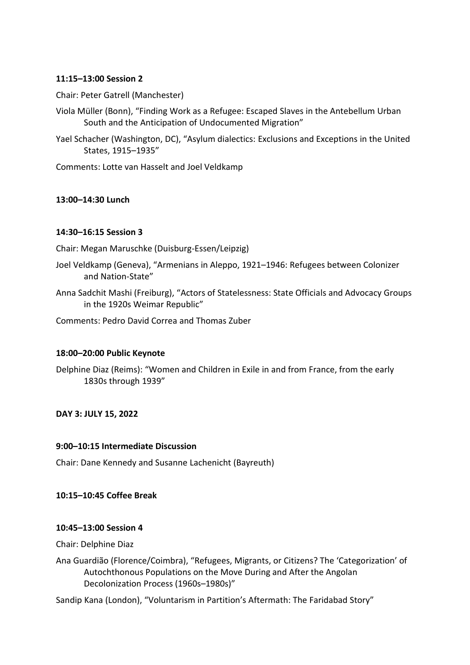### **11:15–13:00 Session 2**

Chair: Peter Gatrell (Manchester)

Viola Müller (Bonn), "Finding Work as a Refugee: Escaped Slaves in the Antebellum Urban South and the Anticipation of Undocumented Migration"

Yael Schacher (Washington, DC), "Asylum dialectics: Exclusions and Exceptions in the United States, 1915–1935"

Comments: Lotte van Hasselt and Joel Veldkamp

# **13:00–14:30 Lunch**

### **14:30–16:15 Session 3**

Chair: Megan Maruschke (Duisburg-Essen/Leipzig)

- Joel Veldkamp (Geneva), "Armenians in Aleppo, 1921–1946: Refugees between Colonizer and Nation-State"
- Anna Sadchit Mashi (Freiburg), "Actors of Statelessness: State Officials and Advocacy Groups in the 1920s Weimar Republic"

Comments: Pedro David Correa and Thomas Zuber

### **18:00–20:00 Public Keynote**

Delphine Diaz (Reims): "Women and Children in Exile in and from France, from the early 1830s through 1939"

**DAY 3: JULY 15, 2022**

### **9:00–10:15 Intermediate Discussion**

Chair: Dane Kennedy and Susanne Lachenicht (Bayreuth)

# **10:15–10:45 Coffee Break**

### **10:45–13:00 Session 4**

Chair: Delphine Diaz

Ana Guardião (Florence/Coimbra), "Refugees, Migrants, or Citizens? The 'Categorization' of Autochthonous Populations on the Move During and After the Angolan Decolonization Process (1960s–1980s)"

Sandip Kana (London), "Voluntarism in Partition's Aftermath: The Faridabad Story"